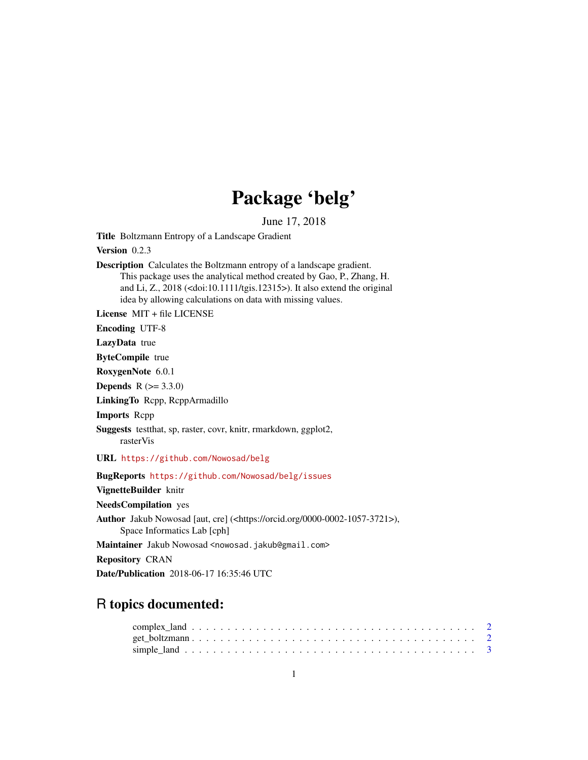## Package 'belg'

June 17, 2018

Title Boltzmann Entropy of a Landscape Gradient

Version 0.2.3

Description Calculates the Boltzmann entropy of a landscape gradient. This package uses the analytical method created by Gao, P., Zhang, H. and Li, Z., 2018 (<doi:10.1111/tgis.12315>). It also extend the original idea by allowing calculations on data with missing values.

License MIT + file LICENSE

Encoding UTF-8

LazyData true

ByteCompile true

RoxygenNote 6.0.1

**Depends**  $R (= 3.3.0)$ 

LinkingTo Rcpp, RcppArmadillo

Imports Rcpp

Suggests testthat, sp, raster, covr, knitr, rmarkdown, ggplot2, rasterVis

URL <https://github.com/Nowosad/belg>

BugReports <https://github.com/Nowosad/belg/issues>

VignetteBuilder knitr

NeedsCompilation yes

Author Jakub Nowosad [aut, cre] (<https://orcid.org/0000-0002-1057-3721>), Space Informatics Lab [cph]

Maintainer Jakub Nowosad <nowosad.jakub@gmail.com>

Repository CRAN

Date/Publication 2018-06-17 16:35:46 UTC

### R topics documented: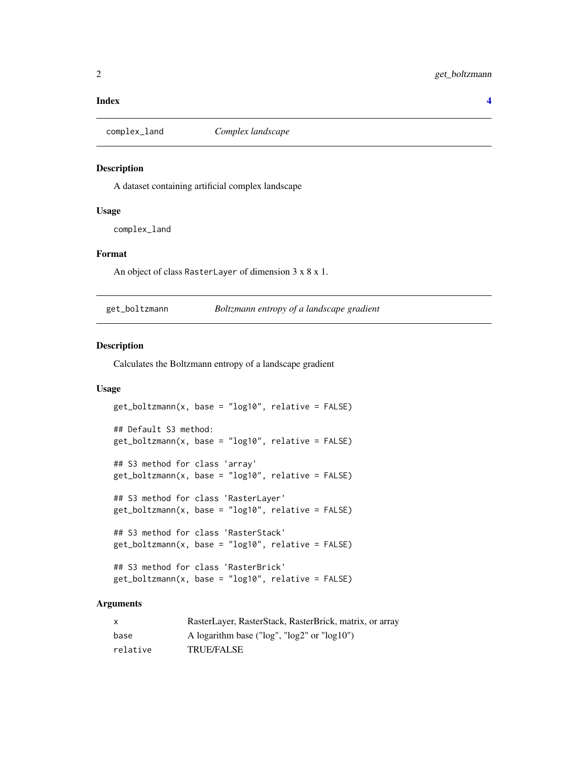#### <span id="page-1-0"></span>**Index** [4](#page-3-0)

complex\_land *Complex landscape*

#### Description

A dataset containing artificial complex landscape

#### Usage

complex\_land

#### Format

An object of class RasterLayer of dimension 3 x 8 x 1.

| get_boltzmann | Boltzmann entropy of a landscape gradient |
|---------------|-------------------------------------------|
|               |                                           |

#### Description

Calculates the Boltzmann entropy of a landscape gradient

#### Usage

```
get_boltzmann(x, base = "log10", relative = FALSE)
## Default S3 method:
get_boltzmann(x, base = "log10", relative = FALSE)
## S3 method for class 'array'
get_boltzmann(x, base = "log10", relative = FALSE)
## S3 method for class 'RasterLayer'
get_boltzmann(x, base = "log10", relative = FALSE)
## S3 method for class 'RasterStack'
get_boltzmann(x, base = "log10", relative = FALSE)## S3 method for class 'RasterBrick'
get_boltzmann(x, base = "log10", relative = FALSE)
```
#### Arguments

| X        | RasterLayer, RasterStack, RasterBrick, matrix, or array |
|----------|---------------------------------------------------------|
| base     | A logarithm base (" $log$ ", " $log2$ " or " $log10$ ") |
| relative | <b>TRUE/FALSE</b>                                       |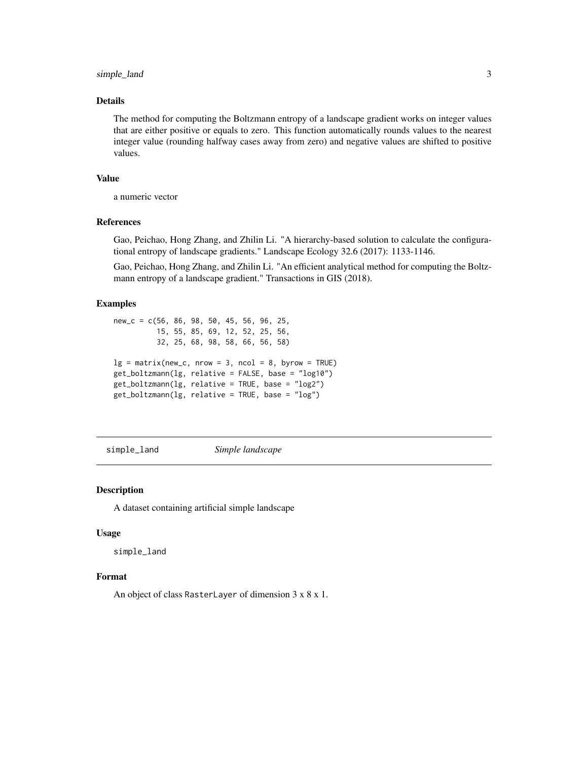#### <span id="page-2-0"></span>simple\_land 3

#### Details

The method for computing the Boltzmann entropy of a landscape gradient works on integer values that are either positive or equals to zero. This function automatically rounds values to the nearest integer value (rounding halfway cases away from zero) and negative values are shifted to positive values.

#### Value

a numeric vector

#### References

Gao, Peichao, Hong Zhang, and Zhilin Li. "A hierarchy-based solution to calculate the configurational entropy of landscape gradients." Landscape Ecology 32.6 (2017): 1133-1146.

Gao, Peichao, Hong Zhang, and Zhilin Li. "An efficient analytical method for computing the Boltzmann entropy of a landscape gradient." Transactions in GIS (2018).

#### Examples

```
new_c = c(56, 86, 98, 50, 45, 56, 96, 25,
          15, 55, 85, 69, 12, 52, 25, 56,
          32, 25, 68, 98, 58, 66, 56, 58)
lg = matrix(new_c, nrow = 3, ncol = 8, byrow = TRUE)get_boltzmann(lg, relative = FALSE, base = "log10")
get_boltzmann(lg, relative = TRUE, base = "log2")
get_boltzmann(lg, relative = TRUE, base = "log")
```
simple\_land *Simple landscape*

#### **Description**

A dataset containing artificial simple landscape

#### Usage

simple\_land

#### Format

An object of class RasterLayer of dimension 3 x 8 x 1.